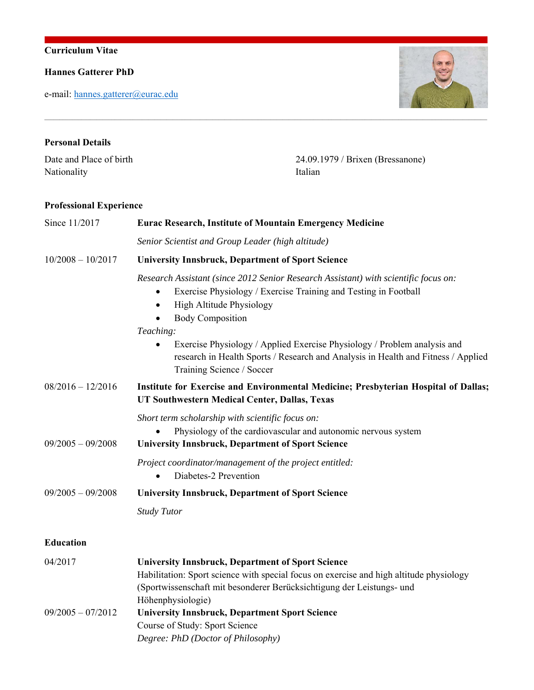## **Curriculum Vitae**

**Hannes Gatterer PhD**

e-mail: hannes.gatterer@eurac.edu



# **Personal Details**  Date and Place of birth 24.09.1979 / Brixen (Bressanone) Nationality **Italian**

 $\mathcal{L}_\text{max} = \mathcal{L}_\text{max} = \mathcal{L}_\text{max} = \mathcal{L}_\text{max} = \mathcal{L}_\text{max} = \mathcal{L}_\text{max} = \mathcal{L}_\text{max} = \mathcal{L}_\text{max} = \mathcal{L}_\text{max} = \mathcal{L}_\text{max} = \mathcal{L}_\text{max} = \mathcal{L}_\text{max} = \mathcal{L}_\text{max} = \mathcal{L}_\text{max} = \mathcal{L}_\text{max} = \mathcal{L}_\text{max} = \mathcal{L}_\text{max} = \mathcal{L}_\text{max} = \mathcal{$ 

### **Professional Experience**

| Since 11/2017       | <b>Eurac Research, Institute of Mountain Emergency Medicine</b>                                                                                                                                                                                                                                                                                                                                                                                    |  |
|---------------------|----------------------------------------------------------------------------------------------------------------------------------------------------------------------------------------------------------------------------------------------------------------------------------------------------------------------------------------------------------------------------------------------------------------------------------------------------|--|
|                     | Senior Scientist and Group Leader (high altitude)                                                                                                                                                                                                                                                                                                                                                                                                  |  |
| $10/2008 - 10/2017$ | <b>University Innsbruck, Department of Sport Science</b>                                                                                                                                                                                                                                                                                                                                                                                           |  |
|                     | Research Assistant (since 2012 Senior Research Assistant) with scientific focus on:<br>Exercise Physiology / Exercise Training and Testing in Football<br>$\bullet$<br>High Altitude Physiology<br>$\bullet$<br><b>Body Composition</b><br>Teaching:<br>Exercise Physiology / Applied Exercise Physiology / Problem analysis and<br>research in Health Sports / Research and Analysis in Health and Fitness / Applied<br>Training Science / Soccer |  |
| $08/2016 - 12/2016$ | Institute for Exercise and Environmental Medicine; Presbyterian Hospital of Dallas;<br>UT Southwestern Medical Center, Dallas, Texas                                                                                                                                                                                                                                                                                                               |  |
| $09/2005 - 09/2008$ | Short term scholarship with scientific focus on:<br>Physiology of the cardiovascular and autonomic nervous system<br><b>University Innsbruck, Department of Sport Science</b>                                                                                                                                                                                                                                                                      |  |
|                     | Project coordinator/management of the project entitled:<br>Diabetes-2 Prevention<br>$\bullet$                                                                                                                                                                                                                                                                                                                                                      |  |
| $09/2005 - 09/2008$ | <b>University Innsbruck, Department of Sport Science</b>                                                                                                                                                                                                                                                                                                                                                                                           |  |
|                     | <b>Study Tutor</b>                                                                                                                                                                                                                                                                                                                                                                                                                                 |  |
| <b>Education</b>    |                                                                                                                                                                                                                                                                                                                                                                                                                                                    |  |
| 04/2017             | <b>University Innsbruck, Department of Sport Science</b><br>Habilitation: Sport science with special focus on exercise and high altitude physiology<br>(Sportwissenschaft mit besonderer Berücksichtigung der Leistungs- und<br>Höhenphysiologie)                                                                                                                                                                                                  |  |
| $09/2005 - 07/2012$ | <b>University Innsbruck, Department Sport Science</b><br>Course of Study: Sport Science<br>Degree: PhD (Doctor of Philosophy)                                                                                                                                                                                                                                                                                                                      |  |